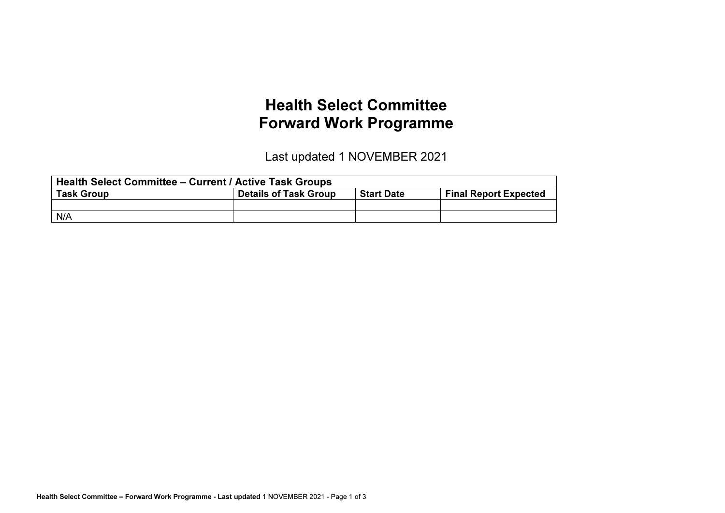## Health Select Committee Forward Work Programme

Last updated 1 NOVEMBER 2021

| <b>Health Select Committee – Current / Active Task Groups</b> |                              |                                                   |  |  |  |  |  |
|---------------------------------------------------------------|------------------------------|---------------------------------------------------|--|--|--|--|--|
| <b>Task Group</b>                                             | <b>Details of Task Group</b> | <b>Final Report Expected</b><br><b>Start Date</b> |  |  |  |  |  |
|                                                               |                              |                                                   |  |  |  |  |  |
| N/A                                                           |                              |                                                   |  |  |  |  |  |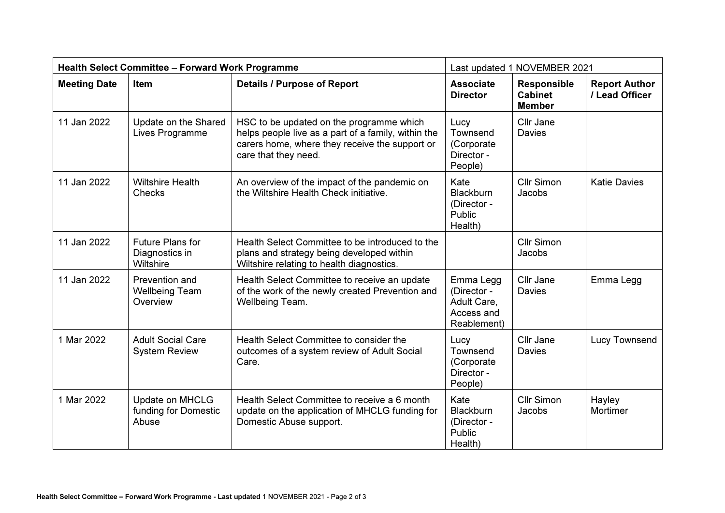| <b>Health Select Committee - Forward Work Programme</b> |                                                     | Last updated 1 NOVEMBER 2021                                                                                                                                              |                                                                      |                                                       |                                        |
|---------------------------------------------------------|-----------------------------------------------------|---------------------------------------------------------------------------------------------------------------------------------------------------------------------------|----------------------------------------------------------------------|-------------------------------------------------------|----------------------------------------|
| <b>Meeting Date</b>                                     | Item                                                | <b>Details / Purpose of Report</b>                                                                                                                                        | <b>Associate</b><br><b>Director</b>                                  | <b>Responsible</b><br><b>Cabinet</b><br><b>Member</b> | <b>Report Author</b><br>/ Lead Officer |
| 11 Jan 2022                                             | Update on the Shared<br>Lives Programme             | HSC to be updated on the programme which<br>helps people live as a part of a family, within the<br>carers home, where they receive the support or<br>care that they need. | Lucy<br>Townsend<br>(Corporate<br>Director -<br>People)              | Cllr Jane<br><b>Davies</b>                            |                                        |
| 11 Jan 2022                                             | <b>Wiltshire Health</b><br>Checks                   | An overview of the impact of the pandemic on<br>the Wiltshire Health Check initiative.                                                                                    | Kate<br><b>Blackburn</b><br>(Director -<br>Public<br>Health)         | <b>Cllr Simon</b><br>Jacobs                           | <b>Katie Davies</b>                    |
| 11 Jan 2022                                             | Future Plans for<br>Diagnostics in<br>Wiltshire     | Health Select Committee to be introduced to the<br>plans and strategy being developed within<br>Wiltshire relating to health diagnostics.                                 |                                                                      | <b>Cllr Simon</b><br>Jacobs                           |                                        |
| 11 Jan 2022                                             | Prevention and<br><b>Wellbeing Team</b><br>Overview | Health Select Committee to receive an update<br>of the work of the newly created Prevention and<br>Wellbeing Team.                                                        | Emma Legg<br>(Director -<br>Adult Care.<br>Access and<br>Reablement) | Cllr Jane<br>Davies                                   | Emma Legg                              |
| 1 Mar 2022                                              | <b>Adult Social Care</b><br><b>System Review</b>    | Health Select Committee to consider the<br>outcomes of a system review of Adult Social<br>Care.                                                                           | Lucy<br>Townsend<br>(Corporate<br>Director -<br>People)              | Cllr Jane<br><b>Davies</b>                            | Lucy Townsend                          |
| 1 Mar 2022                                              | Update on MHCLG<br>funding for Domestic<br>Abuse    | Health Select Committee to receive a 6 month<br>update on the application of MHCLG funding for<br>Domestic Abuse support.                                                 | Kate<br><b>Blackburn</b><br>(Director -<br>Public<br>Health)         | <b>Cllr Simon</b><br>Jacobs                           | Hayley<br>Mortimer                     |